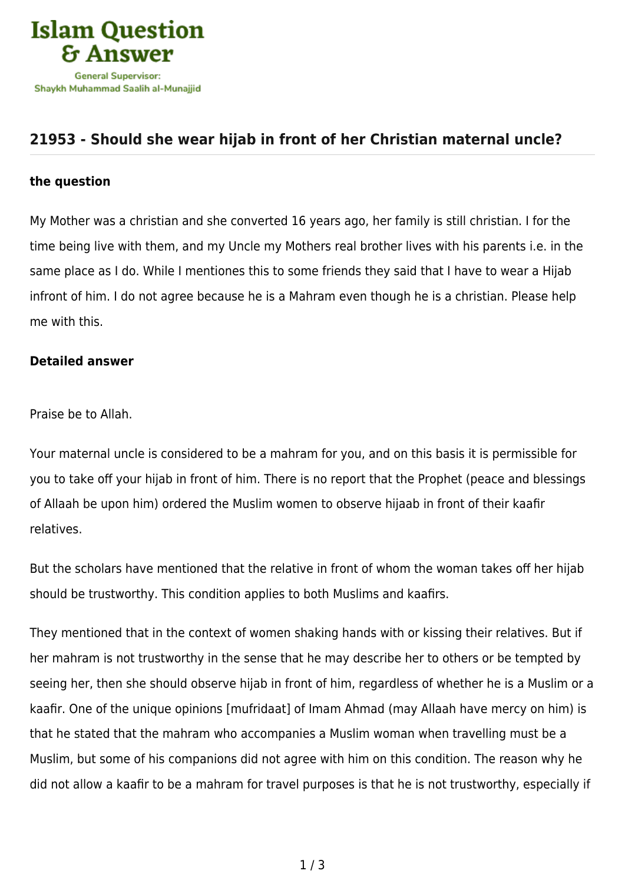

## **[21953 - Should she wear hijab in front of her Christian maternal uncle?](https://islamqa.com/en/answers/21953/should-she-wear-hijab-in-front-of-her-christian-maternal-uncle)**

## **the question**

My Mother was a christian and she converted 16 years ago, her family is still christian. I for the time being live with them, and my Uncle my Mothers real brother lives with his parents i.e. in the same place as I do. While I mentiones this to some friends they said that I have to wear a Hijab infront of him. I do not agree because he is a Mahram even though he is a christian. Please help me with this.

## **Detailed answer**

Praise be to Allah.

Your maternal uncle is considered to be a mahram for you, and on this basis it is permissible for you to take off your hijab in front of him. There is no report that the Prophet (peace and blessings of Allaah be upon him) ordered the Muslim women to observe hijaab in front of their kaafir relatives.

But the scholars have mentioned that the relative in front of whom the woman takes off her hijab should be trustworthy. This condition applies to both Muslims and kaafirs.

They mentioned that in the context of women shaking hands with or kissing their relatives. But if her mahram is not trustworthy in the sense that he may describe her to others or be tempted by seeing her, then she should observe hijab in front of him, regardless of whether he is a Muslim or a kaafir. One of the unique opinions [mufridaat] of Imam Ahmad (may Allaah have mercy on him) is that he stated that the mahram who accompanies a Muslim woman when travelling must be a Muslim, but some of his companions did not agree with him on this condition. The reason why he did not allow a kaafir to be a mahram for travel purposes is that he is not trustworthy, especially if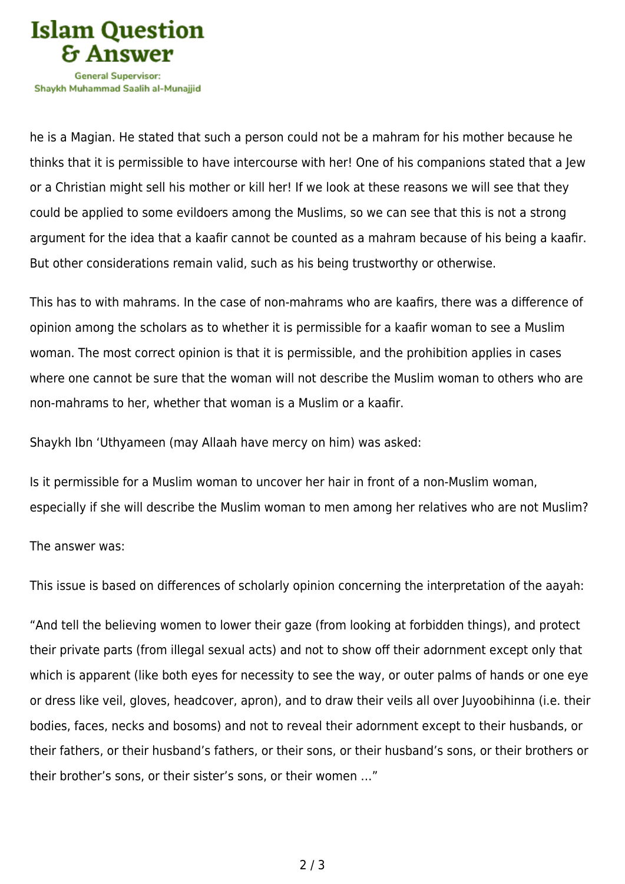

Shavkh Muhammad Saalih al-Munaiiid

he is a Magian. He stated that such a person could not be a mahram for his mother because he thinks that it is permissible to have intercourse with her! One of his companions stated that a Jew or a Christian might sell his mother or kill her! If we look at these reasons we will see that they could be applied to some evildoers among the Muslims, so we can see that this is not a strong argument for the idea that a kaafir cannot be counted as a mahram because of his being a kaafir. But other considerations remain valid, such as his being trustworthy or otherwise.

This has to with mahrams. In the case of non-mahrams who are kaafirs, there was a difference of opinion among the scholars as to whether it is permissible for a kaafir woman to see a Muslim woman. The most correct opinion is that it is permissible, and the prohibition applies in cases where one cannot be sure that the woman will not describe the Muslim woman to others who are non-mahrams to her, whether that woman is a Muslim or a kaafir.

Shaykh Ibn 'Uthyameen (may Allaah have mercy on him) was asked:

Is it permissible for a Muslim woman to uncover her hair in front of a non-Muslim woman, especially if she will describe the Muslim woman to men among her relatives who are not Muslim?

The answer was:

This issue is based on differences of scholarly opinion concerning the interpretation of the aayah:

"And tell the believing women to lower their gaze (from looking at forbidden things), and protect their private parts (from illegal sexual acts) and not to show off their adornment except only that which is apparent (like both eyes for necessity to see the way, or outer palms of hands or one eye or dress like veil, gloves, headcover, apron), and to draw their veils all over Juyoobihinna (i.e. their bodies, faces, necks and bosoms) and not to reveal their adornment except to their husbands, or their fathers, or their husband's fathers, or their sons, or their husband's sons, or their brothers or their brother's sons, or their sister's sons, or their women …"